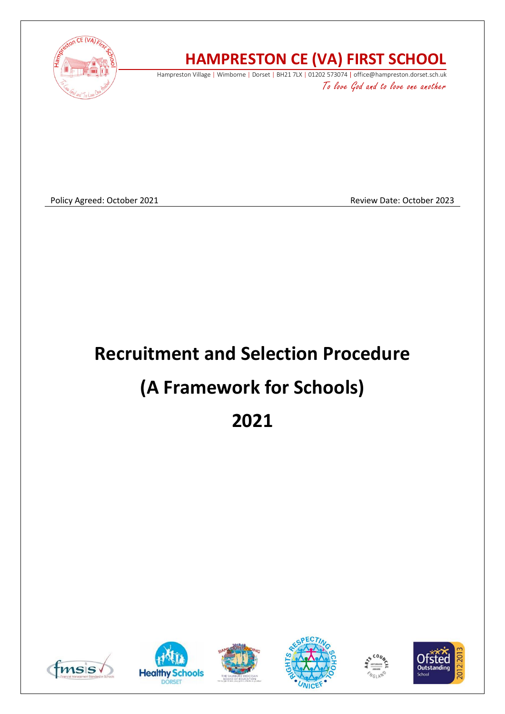

## **HAMPRESTON CE (VA) FIRST SCHOOL**

Hampreston Village | Wimborne | Dorset | BH21 7LX | 01202 573074 | office@hampreston.dorset.sch.uk To love God and to love one another

Policy Agreed: October 2021 **Review Date: October 2023** Review Date: October 2023

# **Recruitment and Selection Procedure (A Framework for Schools) 2021**











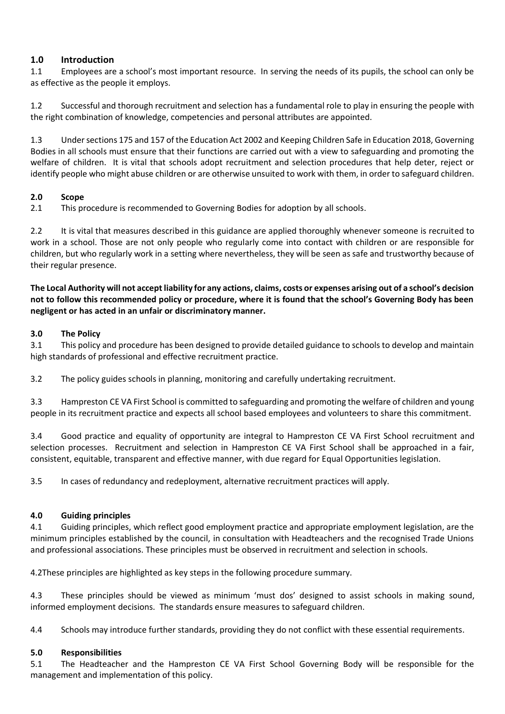#### **1.0 Introduction**

1.1 Employees are a school's most important resource. In serving the needs of its pupils, the school can only be as effective as the people it employs.

1.2 Successful and thorough recruitment and selection has a fundamental role to play in ensuring the people with the right combination of knowledge, competencies and personal attributes are appointed.

1.3 Under sections 175 and 157 of the Education Act 2002 and Keeping Children Safe in Education 2018, Governing Bodies in all schools must ensure that their functions are carried out with a view to safeguarding and promoting the welfare of children. It is vital that schools adopt recruitment and selection procedures that help deter, reject or identify people who might abuse children or are otherwise unsuited to work with them, in order to safeguard children.

#### **2.0 Scope**

2.1 This procedure is recommended to Governing Bodies for adoption by all schools.

2.2 It is vital that measures described in this guidance are applied thoroughly whenever someone is recruited to work in a school. Those are not only people who regularly come into contact with children or are responsible for children, but who regularly work in a setting where nevertheless, they will be seen as safe and trustworthy because of their regular presence.

**The Local Authority will not accept liability for any actions, claims, costs or expenses arising out of a school's decision not to follow this recommended policy or procedure, where it is found that the school's Governing Body has been negligent or has acted in an unfair or discriminatory manner.** 

#### **3.0 The Policy**

3.1 This policy and procedure has been designed to provide detailed guidance to schools to develop and maintain high standards of professional and effective recruitment practice.

3.2 The policy guides schools in planning, monitoring and carefully undertaking recruitment.

3.3 Hampreston CE VA First School is committed to safeguarding and promoting the welfare of children and young people in its recruitment practice and expects all school based employees and volunteers to share this commitment.

3.4 Good practice and equality of opportunity are integral to Hampreston CE VA First School recruitment and selection processes. Recruitment and selection in Hampreston CE VA First School shall be approached in a fair, consistent, equitable, transparent and effective manner, with due regard for Equal Opportunities legislation.

3.5 In cases of redundancy and redeployment, alternative recruitment practices will apply.

#### **4.0 Guiding principles**

4.1 Guiding principles, which reflect good employment practice and appropriate employment legislation, are the minimum principles established by the council, in consultation with Headteachers and the recognised Trade Unions and professional associations. These principles must be observed in recruitment and selection in schools.

4.2These principles are highlighted as key steps in the following procedure summary.

4.3 These principles should be viewed as minimum 'must dos' designed to assist schools in making sound, informed employment decisions. The standards ensure measures to safeguard children.

4.4 Schools may introduce further standards, providing they do not conflict with these essential requirements.

#### **5.0 Responsibilities**

5.1 The Headteacher and the Hampreston CE VA First School Governing Body will be responsible for the management and implementation of this policy.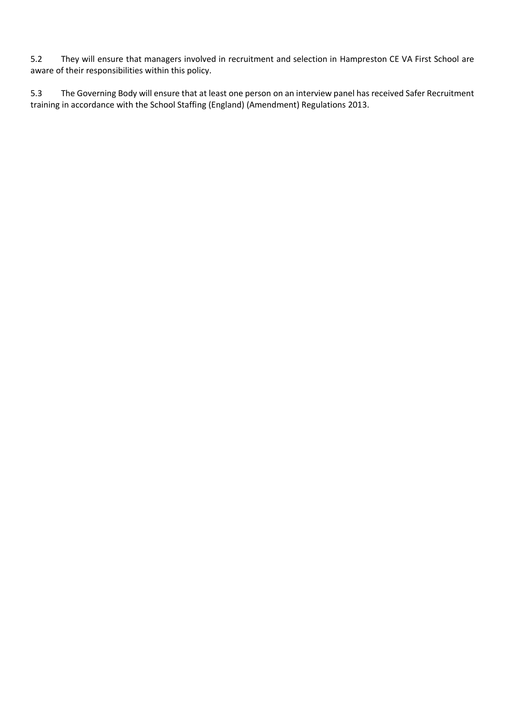5.2 They will ensure that managers involved in recruitment and selection in Hampreston CE VA First School are aware of their responsibilities within this policy.

5.3 The Governing Body will ensure that at least one person on an interview panel has received Safer Recruitment training in accordance with the School Staffing (England) (Amendment) Regulations 2013.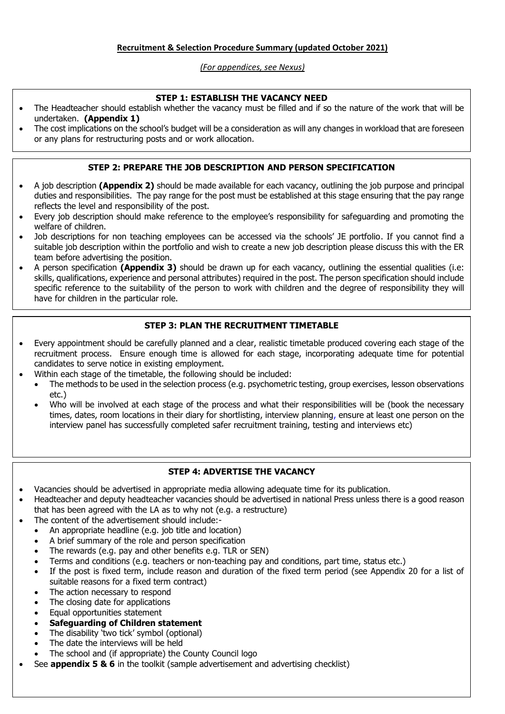#### *(For appendices, see Nexus)*

#### **STEP 1: ESTABLISH THE VACANCY NEED**

- The Headteacher should establish whether the vacancy must be filled and if so the nature of the work that will be undertaken. **(Appendix 1)**
- The cost implications on the school's budget will be a consideration as will any changes in workload that are foreseen or any plans for restructuring posts and or work allocation.

#### **STEP 2: PREPARE THE JOB DESCRIPTION AND PERSON SPECIFICATION**

- A job description **(Appendix 2)** should be made available for each vacancy, outlining the job purpose and principal duties and responsibilities. The pay range for the post must be established at this stage ensuring that the pay range reflects the level and responsibility of the post.
- Every job description should make reference to the employee's responsibility for safeguarding and promoting the welfare of children.
- Job descriptions for non teaching employees can be accessed via the schools' JE portfolio. If you cannot find a suitable job description within the portfolio and wish to create a new job description please discuss this with the ER team before advertising the position.
- A person specification **(Appendix 3)** should be drawn up for each vacancy, outlining the essential qualities (i.e: skills, qualifications, experience and personal attributes) required in the post. The person specification should include specific reference to the suitability of the person to work with children and the degree of responsibility they will have for children in the particular role.

#### **STEP 3: PLAN THE RECRUITMENT TIMETABLE**

- Every appointment should be carefully planned and a clear, realistic timetable produced covering each stage of the recruitment process. Ensure enough time is allowed for each stage, incorporating adequate time for potential candidates to serve notice in existing employment.
- Within each stage of the timetable, the following should be included:
	- The methods to be used in the selection process (e.g. psychometric testing, group exercises, lesson observations etc.)
	- Who will be involved at each stage of the process and what their responsibilities will be (book the necessary times, dates, room locations in their diary for shortlisting, interview planning, ensure at least one person on the interview panel has successfully completed safer recruitment training, testing and interviews etc)

#### **STEP 4: ADVERTISE THE VACANCY**

- Vacancies should be advertised in appropriate media allowing adequate time for its publication.
- Headteacher and deputy headteacher vacancies should be advertised in national Press unless there is a good reason that has been agreed with the LA as to why not (e.g. a restructure)
- The content of the advertisement should include:-
	- An appropriate headline (e.g. job title and location)
		- A brief summary of the role and person specification
		- The rewards (e.g. pay and other benefits e.g. TLR or SEN)
	- Terms and conditions (e.g. teachers or non-teaching pay and conditions, part time, status etc.)
	- If the post is fixed term, include reason and duration of the fixed term period (see Appendix 20 for a list of suitable reasons for a fixed term contract)
	- The action necessary to respond
	- The closing date for applications
	- Equal opportunities statement
	- **Safeguarding of Children statement**
	- The disability 'two tick' symbol (optional)
	- The date the interviews will be held
	- The school and (if appropriate) the County Council logo
	- See **appendix 5 & 6** in the toolkit (sample advertisement and advertising checklist)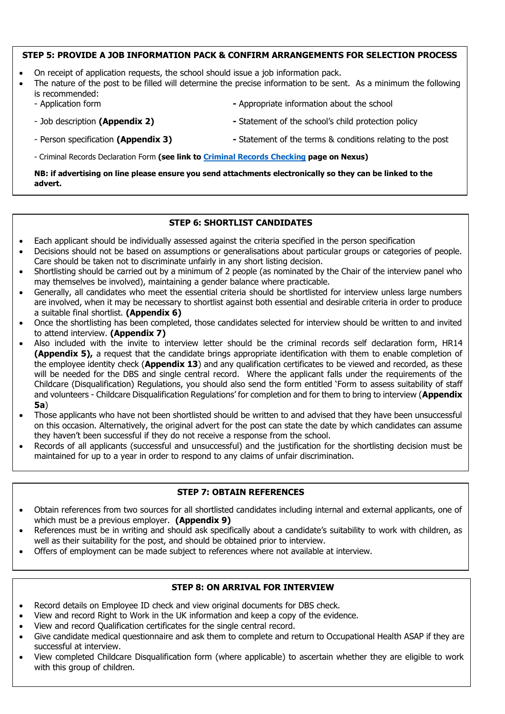#### **STEP 5: PROVIDE A JOB INFORMATION PACK & CONFIRM ARRANGEMENTS FOR SELECTION PROCESS**

- On receipt of application requests, the school should issue a job information pack.
- The nature of the post to be filled will determine the precise information to be sent. As a minimum the following is recommended:
	- Application form **-** Appropriate information about the school
	- Job description **(Appendix 2) -** Statement of the school's child protection policy
	- Person specification **(Appendix 3) -** Statement of the terms & conditions relating to the post
	- Criminal Records Declaration Form **(see link to [Criminal Records Checking](https://www.dorsetforyou.com/398213?detailid=399150) page on Nexus)**

**NB: if advertising on line please ensure you send attachments electronically so they can be linked to the advert.**

#### **STEP 6: SHORTLIST CANDIDATES**

- Each applicant should be individually assessed against the criteria specified in the person specification
- Decisions should not be based on assumptions or generalisations about particular groups or categories of people. Care should be taken not to discriminate unfairly in any short listing decision.
- Shortlisting should be carried out by a minimum of 2 people (as nominated by the Chair of the interview panel who may themselves be involved), maintaining a gender balance where practicable.
- Generally, all candidates who meet the essential criteria should be shortlisted for interview unless large numbers are involved, when it may be necessary to shortlist against both essential and desirable criteria in order to produce a suitable final shortlist. **(Appendix 6)**
- Once the shortlisting has been completed, those candidates selected for interview should be written to and invited to attend interview. **(Appendix 7)**
- Also included with the invite to interview letter should be the criminal records self declaration form, HR14 **(Appendix 5),** a request that the candidate brings appropriate identification with them to enable completion of the employee identity check (**Appendix 13**) and any qualification certificates to be viewed and recorded, as these will be needed for the DBS and single central record. Where the applicant falls under the requirements of the Childcare (Disqualification) Regulations, you should also send the form entitled 'Form to assess suitability of staff and volunteers - Childcare Disqualification Regulations' for completion and for them to bring to interview (**Appendix 5a**)
- Those applicants who have not been shortlisted should be written to and advised that they have been unsuccessful on this occasion. Alternatively, the original advert for the post can state the date by which candidates can assume they haven't been successful if they do not receive a response from the school.
- Records of all applicants (successful and unsuccessful) and the justification for the shortlisting decision must be maintained for up to a year in order to respond to any claims of unfair discrimination.

#### **STEP 7: OBTAIN REFERENCES**

- Obtain references from two sources for all shortlisted candidates including internal and external applicants, one of which must be a previous employer. **(Appendix 9)**
- References must be in writing and should ask specifically about a candidate's suitability to work with children, as well as their suitability for the post, and should be obtained prior to interview.
- Offers of employment can be made subject to references where not available at interview.

#### **STEP 8: ON ARRIVAL FOR INTERVIEW**

- Record details on Employee ID check and view original documents for DBS check.
- View and record Right to Work in the UK information and keep a copy of the evidence.
- View and record Qualification certificates for the single central record.
- Give candidate medical questionnaire and ask them to complete and return to Occupational Health ASAP if they are successful at interview.
- View completed Childcare Disqualification form (where applicable) to ascertain whether they are eligible to work with this group of children.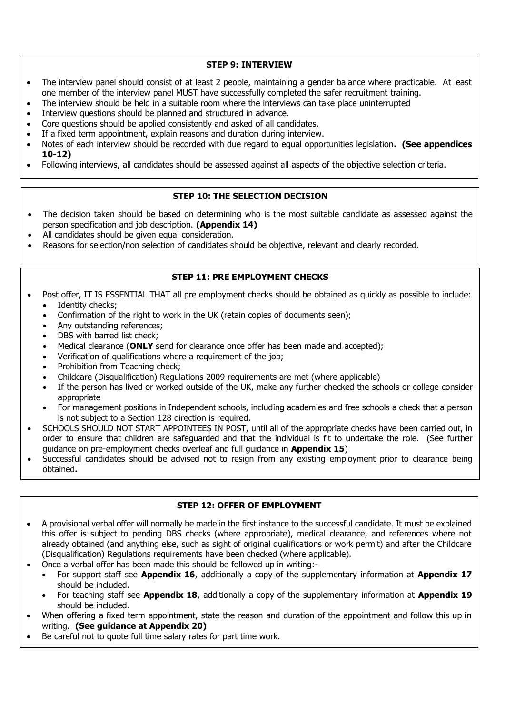**STEP 9: INTERVIEW** 

- The interview panel should consist of at least 2 people, maintaining a gender balance where practicable. At least one member of the interview panel MUST have successfully completed the safer recruitment training.
- The interview should be held in a suitable room where the interviews can take place uninterrupted
- Interview questions should be planned and structured in advance.
- Core questions should be applied consistently and asked of all candidates.
- If a fixed term appointment, explain reasons and duration during interview.
- Notes of each interview should be recorded with due regard to equal opportunities legislation**. (See appendices 10-12)**
- Following interviews, all candidates should be assessed against all aspects of the objective selection criteria.

#### **STEP 10: THE SELECTION DECISION**

- The decision taken should be based on determining who is the most suitable candidate as assessed against the person specification and job description. **(Appendix 14)**
- All candidates should be given equal consideration.
- Reasons for selection/non selection of candidates should be objective, relevant and clearly recorded.

#### **STEP 11: PRF EMPLOYMENT CHECKS**

- Post offer, IT IS ESSENTIAL THAT all pre employment checks should be obtained as quickly as possible to include: Identity checks:
	- Confirmation of the right to work in the UK (retain copies of documents seen);
	- Any outstanding references;
	- DBS with barred list check:
	- Medical clearance (**ONLY** send for clearance once offer has been made and accepted);
	- Verification of qualifications where a requirement of the job;
	- Prohibition from Teaching check:
	- Childcare (Disqualification) Regulations 2009 requirements are met (where applicable)
	- If the person has lived or worked outside of the UK, make any further checked the schools or college consider appropriate
	- For management positions in Independent schools, including academies and free schools a check that a person is not subject to a Section 128 direction is required.
- SCHOOLS SHOULD NOT START APPOINTEES IN POST, until all of the appropriate checks have been carried out, in order to ensure that children are safeguarded and that the individual is fit to undertake the role. (See further guidance on pre-employment checks overleaf and full guidance in **Appendix 15**)
- Successful candidates should be advised not to resign from any existing employment prior to clearance being obtained**.**

#### **STEP 12: OFFER OF EMPLOYMENT**

- A provisional verbal offer will normally be made in the first instance to the successful candidate. It must be explained this offer is subject to pending DBS checks (where appropriate), medical clearance, and references where not already obtained (and anything else, such as sight of original qualifications or work permit) and after the Childcare (Disqualification) Regulations requirements have been checked (where applicable).
	- Once a verbal offer has been made this should be followed up in writing:-
	- For support staff see **Appendix 16**, additionally a copy of the supplementary information at **Appendix 17** should be included.
	- For teaching staff see **Appendix 18**, additionally a copy of the supplementary information at **Appendix 19** should be included.
- When offering a fixed term appointment, state the reason and duration of the appointment and follow this up in writing. **(See guidance at Appendix 20)**
- Be careful not to quote full time salary rates for part time work.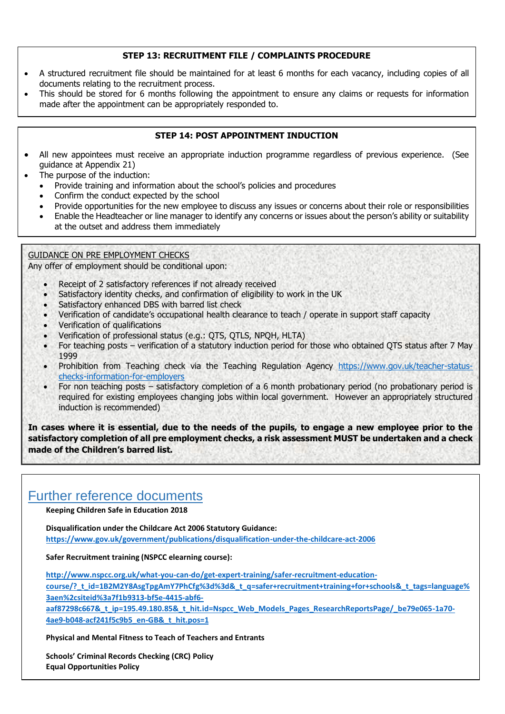#### **STEP 13: RECRUITMENT FILE / COMPLAINTS PROCEDURE**

- A structured recruitment file should be maintained for at least 6 months for each vacancy, including copies of all documents relating to the recruitment process.
- This should be stored for 6 months following the appointment to ensure any claims or requests for information made after the appointment can be appropriately responded to.

#### **STEP 14: POST APPOINTMENT INDUCTION**

- All new appointees must receive an appropriate induction programme regardless of previous experience. (See guidance at Appendix 21)
- The purpose of the induction:
	- Provide training and information about the school's policies and procedures
	- Confirm the conduct expected by the school
	- Provide opportunities for the new employee to discuss any issues or concerns about their role or responsibilities
	- Enable the Headteacher or line manager to identify any concerns or issues about the person's ability or suitability at the outset and address them immediately

#### GUIDANCE ON PRE EMPLOYMENT CHECKS

Any offer of employment should be conditional upon:

- Receipt of 2 satisfactory references if not already received
- Satisfactory identity checks, and confirmation of eligibility to work in the UK
- Satisfactory enhanced DBS with barred list check
- Verification of candidate's occupational health clearance to teach / operate in support staff capacity
- Verification of qualifications
- Verification of professional status (e.g.: QTS, QTLS, NPQH, HLTA)
- For teaching posts verification of a statutory induction period for those who obtained QTS status after 7 May 1999
- Prohibition from Teaching check via the Teaching Regulation Agency [https://www.gov.uk/teacher-status](https://www.gov.uk/teacher-status-checks-information-for-employers)[checks-information-for-employers](https://www.gov.uk/teacher-status-checks-information-for-employers)
- For non teaching posts satisfactory completion of a 6 month probationary period (no probationary period is required for existing employees changing jobs within local government. However an appropriately structured induction is recommended)

**In cases where it is essential, due to the needs of the pupils, to engage a new employee prior to the satisfactory completion of all pre employment checks, a risk assessment MUST be undertaken and a check made of the Children's barred list.**

### Further reference documents

**Keeping Children Safe in Education 2018**

**Disqualification under the Childcare Act 2006 Statutory Guidance: <https://www.gov.uk/government/publications/disqualification-under-the-childcare-act-2006>**

**Safer Recruitment training (NSPCC elearning course):**

**[http://www.nspcc.org.uk/what-you-can-do/get-expert-training/safer-recruitment-education](http://www.nspcc.org.uk/what-you-can-do/get-expert-training/safer-recruitment-education-course/?_t_id=1B2M2Y8AsgTpgAmY7PhCfg%3d%3d&_t_q=safer+recruitment+training+for+schools&_t_tags=language%3aen%2csiteid%3a7f1b9313-bf5e-4415-abf6-aaf87298c667&_t_ip=195.49.180.85&_t_hit.id=Nspcc_Web_Models_Pages_ResearchReportsPage/_be79e065-1a70-4ae9-b048-acf241f5c9b5_en-GB&_t_hit.pos=1)[course/?\\_t\\_id=1B2M2Y8AsgTpgAmY7PhCfg%3d%3d&\\_t\\_q=safer+recruitment+training+for+schools&\\_t\\_tags=language%](http://www.nspcc.org.uk/what-you-can-do/get-expert-training/safer-recruitment-education-course/?_t_id=1B2M2Y8AsgTpgAmY7PhCfg%3d%3d&_t_q=safer+recruitment+training+for+schools&_t_tags=language%3aen%2csiteid%3a7f1b9313-bf5e-4415-abf6-aaf87298c667&_t_ip=195.49.180.85&_t_hit.id=Nspcc_Web_Models_Pages_ResearchReportsPage/_be79e065-1a70-4ae9-b048-acf241f5c9b5_en-GB&_t_hit.pos=1) [3aen%2csiteid%3a7f1b9313-bf5e-4415-abf6-](http://www.nspcc.org.uk/what-you-can-do/get-expert-training/safer-recruitment-education-course/?_t_id=1B2M2Y8AsgTpgAmY7PhCfg%3d%3d&_t_q=safer+recruitment+training+for+schools&_t_tags=language%3aen%2csiteid%3a7f1b9313-bf5e-4415-abf6-aaf87298c667&_t_ip=195.49.180.85&_t_hit.id=Nspcc_Web_Models_Pages_ResearchReportsPage/_be79e065-1a70-4ae9-b048-acf241f5c9b5_en-GB&_t_hit.pos=1)**

**[aaf87298c667&\\_t\\_ip=195.49.180.85&\\_t\\_hit.id=Nspcc\\_Web\\_Models\\_Pages\\_ResearchReportsPage/\\_be79e065-1a70-](http://www.nspcc.org.uk/what-you-can-do/get-expert-training/safer-recruitment-education-course/?_t_id=1B2M2Y8AsgTpgAmY7PhCfg%3d%3d&_t_q=safer+recruitment+training+for+schools&_t_tags=language%3aen%2csiteid%3a7f1b9313-bf5e-4415-abf6-aaf87298c667&_t_ip=195.49.180.85&_t_hit.id=Nspcc_Web_Models_Pages_ResearchReportsPage/_be79e065-1a70-4ae9-b048-acf241f5c9b5_en-GB&_t_hit.pos=1) [4ae9-b048-acf241f5c9b5\\_en-GB&\\_t\\_hit.pos=1](http://www.nspcc.org.uk/what-you-can-do/get-expert-training/safer-recruitment-education-course/?_t_id=1B2M2Y8AsgTpgAmY7PhCfg%3d%3d&_t_q=safer+recruitment+training+for+schools&_t_tags=language%3aen%2csiteid%3a7f1b9313-bf5e-4415-abf6-aaf87298c667&_t_ip=195.49.180.85&_t_hit.id=Nspcc_Web_Models_Pages_ResearchReportsPage/_be79e065-1a70-4ae9-b048-acf241f5c9b5_en-GB&_t_hit.pos=1)**

**Physical and Mental Fitness to Teach of Teachers and Entrants** 

• **Schools' Criminal Records Checking (CRC) Policy** • **Equal Opportunities Policy**